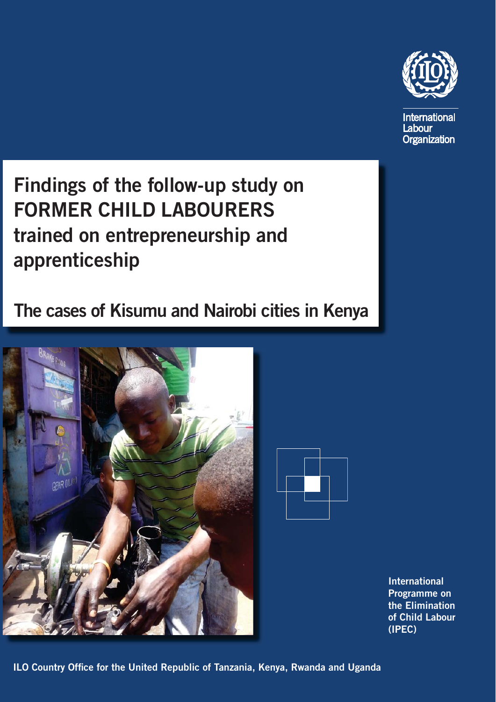

**International** Labour Organization

**Findings of the follow-up study on FORMER CHILD LABOURERS trained on entrepreneurship and apprenticeship**

## **The cases of Kisumu and Nairobi cities in Kenya**





**International Programme on the Elimination of Child Labour (IPEC)**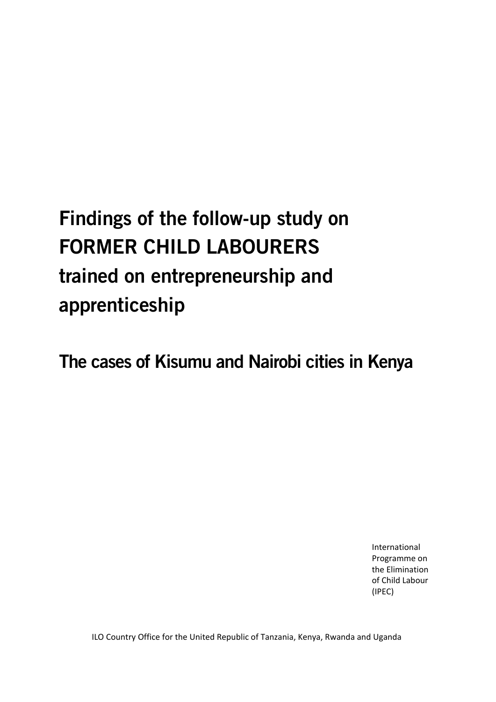# **Findings of the follow-up study on FORMER CHILD LABOURERS trained on entrepreneurship and apprenticeship**

**The cases of Kisumu and Nairobi cities in Kenya** 

International Programme on the Elimination of Child Labour (IPEC)

ILO Country Office for the United Republic of Tanzania, Kenya, Rwanda and Uganda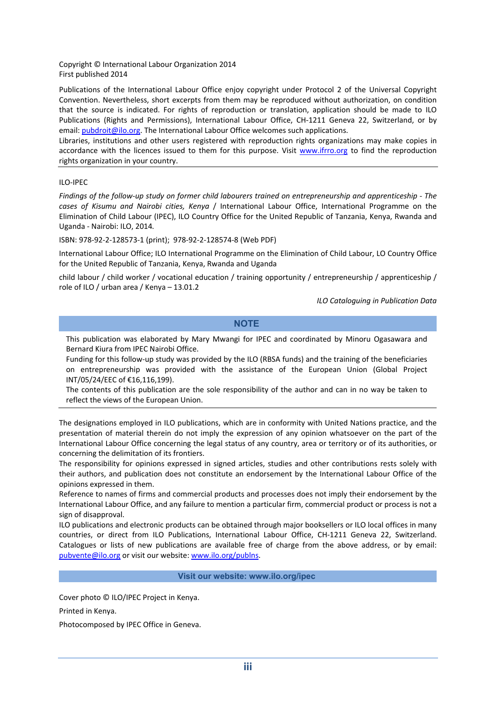Copyright © International Labour Organization 2014 First published 2014

Publications of the International Labour Office enjoy copyright under Protocol 2 of the Universal Copyright Convention. Nevertheless, short excerpts from them may be reproduced without authorization, on condition that the source is indicated. For rights of reproduction or translation, application should be made to ILO Publications (Rights and Permissions), International Labour Office, CH-1211 Geneva 22, Switzerland, or by email: pubdroit@ilo.org. The International Labour Office welcomes such applications.

Libraries, institutions and other users registered with reproduction rights organizations may make copies in accordance with the licences issued to them for this purpose. Visit www.ifrro.org to find the reproduction rights organization in your country.

#### ILO‐IPEC

Findings of the follow-up study on former child labourers trained on entrepreneurship and apprenticeship - The *cases of Kisumu and Nairobi cities, Kenya* / International Labour Office, International Programme on the Elimination of Child Labour (IPEC), ILO Country Office for the United Republic of Tanzania, Kenya, Rwanda and Uganda ‐ Nairobi: ILO, 2014*.*

ISBN: 978‐92‐2‐128573‐1 (print); 978‐92‐2‐128574‐8 (Web PDF)

International Labour Office; ILO International Programme on the Elimination of Child Labour, LO Country Office for the United Republic of Tanzania, Kenya, Rwanda and Uganda

child labour / child worker / vocational education / training opportunity / entrepreneurship / apprenticeship / role of ILO / urban area / Kenya – 13.01.2

*ILO Cataloguing in Publication Data*

#### **NOTE**

This publication was elaborated by Mary Mwangi for IPEC and coordinated by Minoru Ogasawara and Bernard Kiura from IPEC Nairobi Office.

Funding for this follow‐up study was provided by the ILO (RBSA funds) and the training of the beneficiaries on entrepreneurship was provided with the assistance of the European Union (Global Project INT/05/24/EEC of €16,116,199).

The contents of this publication are the sole responsibility of the author and can in no way be taken to reflect the views of the European Union.

The designations employed in ILO publications, which are in conformity with United Nations practice, and the presentation of material therein do not imply the expression of any opinion whatsoever on the part of the International Labour Office concerning the legal status of any country, area or territory or of its authorities, or concerning the delimitation of its frontiers.

The responsibility for opinions expressed in signed articles, studies and other contributions rests solely with their authors, and publication does not constitute an endorsement by the International Labour Office of the opinions expressed in them.

Reference to names of firms and commercial products and processes does not imply their endorsement by the International Labour Office, and any failure to mention a particular firm, commercial product or process is not a sign of disapproval.

ILO publications and electronic products can be obtained through major booksellers or ILO local offices in many countries, or direct from ILO Publications, International Labour Office, CH‐1211 Geneva 22, Switzerland. Catalogues or lists of new publications are available free of charge from the above address, or by email: pubvente@ilo.org or visit our website: www.ilo.org/publns.

#### **Visit our website: www.ilo.org/ipec**

Cover photo © ILO/IPEC Project in Kenya.

Printed in Kenya.

Photocomposed by IPEC Office in Geneva.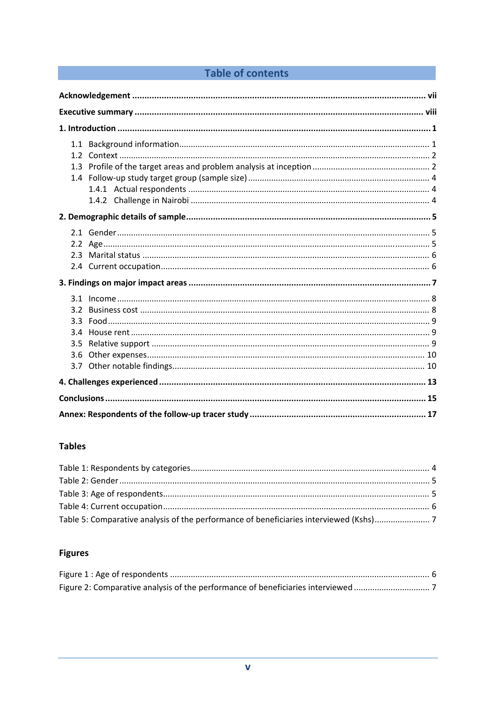## Table of contents

| 3.2<br>$3.3 -$<br>3.4<br>3.5<br>3.6 |
|-------------------------------------|
|                                     |
|                                     |
|                                     |

## **Tables**

## **Figures**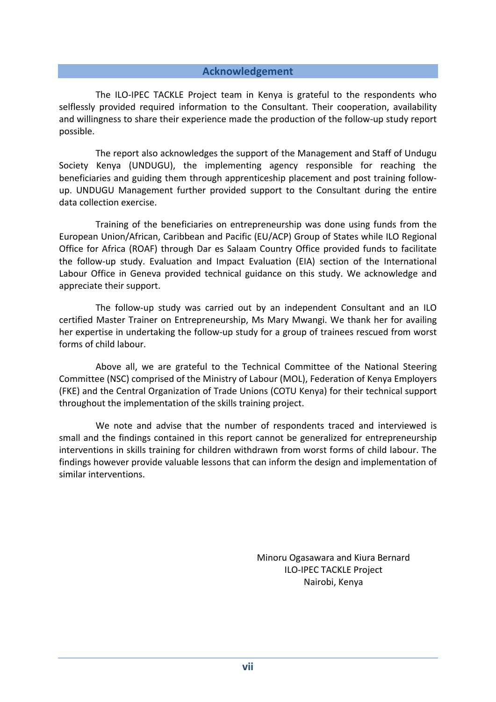#### **Acknowledgement**

The ILO-IPEC TACKLE Project team in Kenya is grateful to the respondents who selflessly provided required information to the Consultant. Their cooperation, availability and willingness to share their experience made the production of the follow‐up study report possible.

The report also acknowledges the support of the Management and Staff of Undugu Society Kenya (UNDUGU), the implementing agency responsible for reaching the beneficiaries and guiding them through apprenticeship placement and post training follow‐ up. UNDUGU Management further provided support to the Consultant during the entire data collection exercise.

Training of the beneficiaries on entrepreneurship was done using funds from the European Union/African, Caribbean and Pacific (EU/ACP) Group of States while ILO Regional Office for Africa (ROAF) through Dar es Salaam Country Office provided funds to facilitate the follow‐up study. Evaluation and Impact Evaluation (EIA) section of the International Labour Office in Geneva provided technical guidance on this study. We acknowledge and appreciate their support.

The follow‐up study was carried out by an independent Consultant and an ILO certified Master Trainer on Entrepreneurship, Ms Mary Mwangi. We thank her for availing her expertise in undertaking the follow-up study for a group of trainees rescued from worst forms of child labour.

Above all, we are grateful to the Technical Committee of the National Steering Committee (NSC) comprised of the Ministry of Labour (MOL), Federation of Kenya Employers (FKE) and the Central Organization of Trade Unions (COTU Kenya) for their technical support throughout the implementation of the skills training project.

We note and advise that the number of respondents traced and interviewed is small and the findings contained in this report cannot be generalized for entrepreneurship interventions in skills training for children withdrawn from worst forms of child labour. The findings however provide valuable lessons that can inform the design and implementation of similar interventions.

> Minoru Ogasawara and Kiura Bernard ILO‐IPEC TACKLE Project Nairobi, Kenya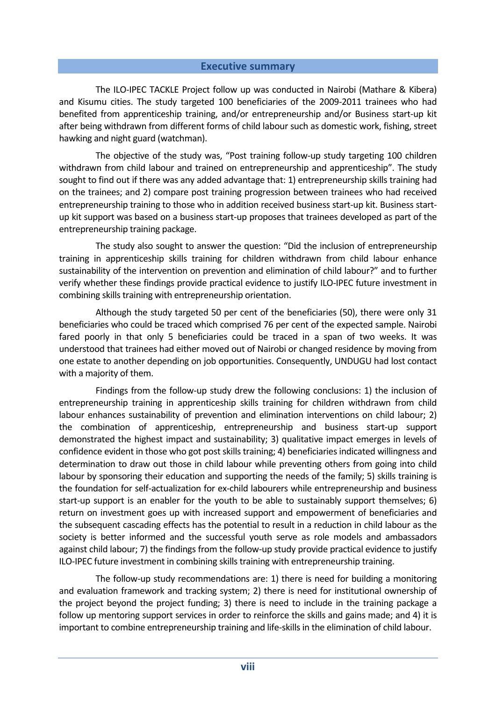#### **Executive summary**

The ILO‐IPEC TACKLE Project follow up was conducted in Nairobi (Mathare & Kibera) and Kisumu cities. The study targeted 100 beneficiaries of the 2009‐2011 trainees who had benefited from apprenticeship training, and/or entrepreneurship and/or Business start‐up kit after being withdrawn from different forms of child labour such as domestic work, fishing, street hawking and night guard (watchman).

The objective of the study was, "Post training follow‐up study targeting 100 children withdrawn from child labour and trained on entrepreneurship and apprenticeship". The study sought to find out if there was any added advantage that: 1) entrepreneurship skills training had on the trainees; and 2) compare post training progression between trainees who had received entrepreneurship training to those who in addition received business start-up kit. Business startup kit support was based on a business start‐up proposes that trainees developed as part of the entrepreneurship training package.

The study also sought to answer the question: "Did the inclusion of entrepreneurship training in apprenticeship skills training for children withdrawn from child labour enhance sustainability of the intervention on prevention and elimination of child labour?" and to further verify whether these findings provide practical evidence to justify ILO‐IPEC future investment in combining skills training with entrepreneurship orientation.

Although the study targeted 50 per cent of the beneficiaries (50), there were only 31 beneficiaries who could be traced which comprised 76 per cent of the expected sample. Nairobi fared poorly in that only 5 beneficiaries could be traced in a span of two weeks. It was understood that trainees had either moved out of Nairobi or changed residence by moving from one estate to another depending on job opportunities. Consequently, UNDUGU had lost contact with a majority of them.

Findings from the follow‐up study drew the following conclusions: 1) the inclusion of entrepreneurship training in apprenticeship skills training for children withdrawn from child labour enhances sustainability of prevention and elimination interventions on child labour; 2) the combination of apprenticeship, entrepreneurship and business start‐up support demonstrated the highest impact and sustainability; 3) qualitative impact emerges in levels of confidence evident in those who got post skills training; 4) beneficiaries indicated willingness and determination to draw out those in child labour while preventing others from going into child labour by sponsoring their education and supporting the needs of the family; 5) skills training is the foundation for self‐actualization for ex‐child labourers while entrepreneurship and business start-up support is an enabler for the youth to be able to sustainably support themselves; 6) return on investment goes up with increased support and empowerment of beneficiaries and the subsequent cascading effects has the potential to result in a reduction in child labour as the society is better informed and the successful youth serve as role models and ambassadors against child labour; 7) the findings from the follow-up study provide practical evidence to justify ILO-IPEC future investment in combining skills training with entrepreneurship training.

The follow-up study recommendations are: 1) there is need for building a monitoring and evaluation framework and tracking system; 2) there is need for institutional ownership of the project beyond the project funding; 3) there is need to include in the training package a follow up mentoring support services in order to reinforce the skills and gains made; and 4) it is important to combine entrepreneurship training and life-skills in the elimination of child labour.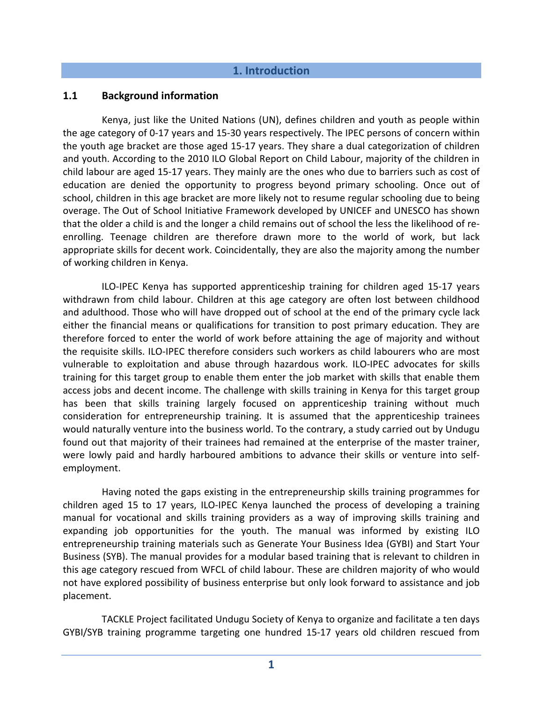#### **1. Introduction**

#### **1.1 Background information**

Kenya, just like the United Nations (UN), defines children and youth as people within the age category of 0‐17 years and 15‐30 years respectively. The IPEC persons of concern within the youth age bracket are those aged 15‐17 years. They share a dual categorization of children and youth. According to the 2010 ILO Global Report on Child Labour, majority of the children in child labour are aged 15‐17 years. They mainly are the ones who due to barriers such as cost of education are denied the opportunity to progress beyond primary schooling. Once out of school, children in this age bracket are more likely not to resume regular schooling due to being overage. The Out of School Initiative Framework developed by UNICEF and UNESCO has shown that the older a child is and the longer a child remains out of school the less the likelihood of re‐ enrolling. Teenage children are therefore drawn more to the world of work, but lack appropriate skills for decent work. Coincidentally, they are also the majority among the number of working children in Kenya.

ILO‐IPEC Kenya has supported apprenticeship training for children aged 15‐17 years withdrawn from child labour. Children at this age category are often lost between childhood and adulthood. Those who will have dropped out of school at the end of the primary cycle lack either the financial means or qualifications for transition to post primary education. They are therefore forced to enter the world of work before attaining the age of majority and without the requisite skills. ILO‐IPEC therefore considers such workers as child labourers who are most vulnerable to exploitation and abuse through hazardous work. ILO‐IPEC advocates for skills training for this target group to enable them enter the job market with skills that enable them access jobs and decent income. The challenge with skills training in Kenya for this target group has been that skills training largely focused on apprenticeship training without much consideration for entrepreneurship training. It is assumed that the apprenticeship trainees would naturally venture into the business world. To the contrary, a study carried out by Undugu found out that majority of their trainees had remained at the enterprise of the master trainer, were lowly paid and hardly harboured ambitions to advance their skills or venture into selfemployment.

Having noted the gaps existing in the entrepreneurship skills training programmes for children aged 15 to 17 years, ILO‐IPEC Kenya launched the process of developing a training manual for vocational and skills training providers as a way of improving skills training and expanding job opportunities for the youth. The manual was informed by existing ILO entrepreneurship training materials such as Generate Your Business Idea (GYBI) and Start Your Business (SYB). The manual provides for a modular based training that is relevant to children in this age category rescued from WFCL of child labour. These are children majority of who would not have explored possibility of business enterprise but only look forward to assistance and job placement.

TACKLE Project facilitated Undugu Society of Kenya to organize and facilitate a ten days GYBI/SYB training programme targeting one hundred 15‐17 years old children rescued from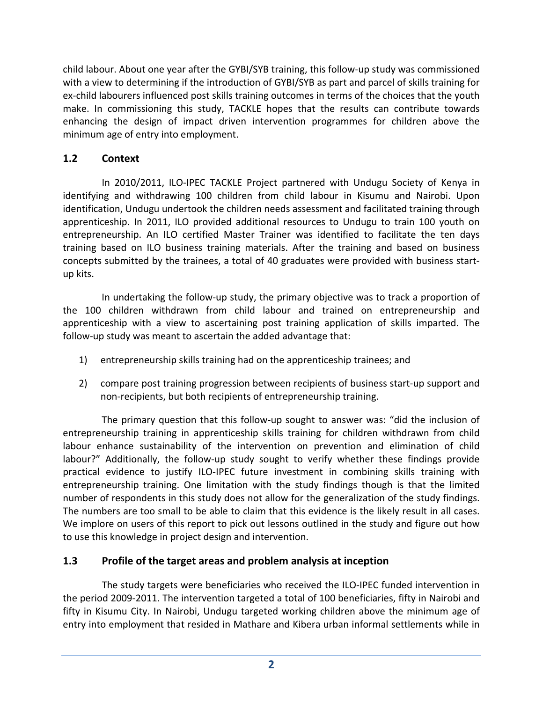child labour. About one year after the GYBI/SYB training, this follow‐up study was commissioned with a view to determining if the introduction of GYBI/SYB as part and parcel of skills training for ex-child labourers influenced post skills training outcomes in terms of the choices that the youth make. In commissioning this study, TACKLE hopes that the results can contribute towards enhancing the design of impact driven intervention programmes for children above the minimum age of entry into employment.

## **1.2 Context**

In 2010/2011, ILO-IPEC TACKLE Project partnered with Undugu Society of Kenya in identifying and withdrawing 100 children from child labour in Kisumu and Nairobi. Upon identification, Undugu undertook the children needs assessment and facilitated training through apprenticeship. In 2011, ILO provided additional resources to Undugu to train 100 youth on entrepreneurship. An ILO certified Master Trainer was identified to facilitate the ten days training based on ILO business training materials. After the training and based on business concepts submitted by the trainees, a total of 40 graduates were provided with business start‐ up kits.

In undertaking the follow‐up study, the primary objective was to track a proportion of the 100 children withdrawn from child labour and trained on entrepreneurship and apprenticeship with a view to ascertaining post training application of skills imparted. The follow-up study was meant to ascertain the added advantage that:

- 1) entrepreneurship skills training had on the apprenticeship trainees; and
- 2) compare post training progression between recipients of business start-up support and non‐recipients, but both recipients of entrepreneurship training.

The primary question that this follow‐up sought to answer was: "did the inclusion of entrepreneurship training in apprenticeship skills training for children withdrawn from child labour enhance sustainability of the intervention on prevention and elimination of child labour?" Additionally, the follow-up study sought to verify whether these findings provide practical evidence to justify ILO-IPEC future investment in combining skills training with entrepreneurship training. One limitation with the study findings though is that the limited number of respondents in this study does not allow for the generalization of the study findings. The numbers are too small to be able to claim that this evidence is the likely result in all cases. We implore on users of this report to pick out lessons outlined in the study and figure out how to use this knowledge in project design and intervention.

## **1.3 Profile of the target areas and problem analysis at inception**

The study targets were beneficiaries who received the ILO-IPEC funded intervention in the period 2009‐2011. The intervention targeted a total of 100 beneficiaries, fifty in Nairobi and fifty in Kisumu City. In Nairobi, Undugu targeted working children above the minimum age of entry into employment that resided in Mathare and Kibera urban informal settlements while in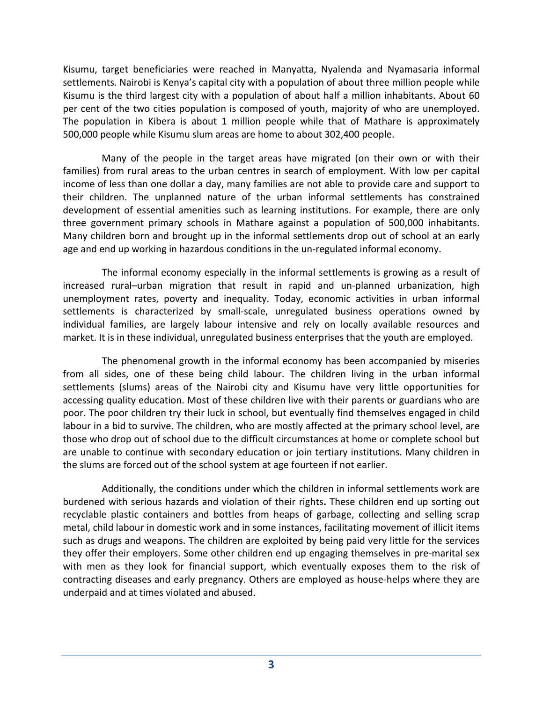Kisumu, target beneficiaries were reached in Manyatta, Nyalenda and Nyamasaria informal settlements. Nairobi is Kenya's capital city with a population of about three million people while Kisumu is the third largest city with a population of about half a million inhabitants. About 60 per cent of the two cities population is composed of youth, majority of who are unemployed. The population in Kibera is about 1 million people while that of Mathare is approximately 500,000 people while Kisumu slum areas are home to about 302,400 people.

Many of the people in the target areas have migrated (on their own or with their families) from rural areas to the urban centres in search of employment. With low per capital income of less than one dollar a day, many families are not able to provide care and support to their children. The unplanned nature of the urban informal settlements has constrained development of essential amenities such as learning institutions. For example, there are only three government primary schools in Mathare against a population of 500,000 inhabitants. Many children born and brought up in the informal settlements drop out of school at an early age and end up working in hazardous conditions in the un-regulated informal economy.

The informal economy especially in the informal settlements is growing as a result of increased rural–urban migration that result in rapid and un‐planned urbanization, high unemployment rates, poverty and inequality. Today, economic activities in urban informal settlements is characterized by small-scale, unregulated business operations owned by individual families, are largely labour intensive and rely on locally available resources and market. It is in these individual, unregulated business enterprises that the youth are employed.

The phenomenal growth in the informal economy has been accompanied by miseries from all sides, one of these being child labour. The children living in the urban informal settlements (slums) areas of the Nairobi city and Kisumu have very little opportunities for accessing quality education. Most of these children live with their parents or guardians who are poor. The poor children try their luck in school, but eventually find themselves engaged in child labour in a bid to survive. The children, who are mostly affected at the primary school level, are those who drop out of school due to the difficult circumstances at home or complete school but are unable to continue with secondary education or join tertiary institutions. Many children in the slums are forced out of the school system at age fourteen if not earlier.

Additionally, the conditions under which the children in informal settlements work are burdened with serious hazards and violation of their rights**.** These children end up sorting out recyclable plastic containers and bottles from heaps of garbage, collecting and selling scrap metal, child labour in domestic work and in some instances, facilitating movement of illicit items such as drugs and weapons. The children are exploited by being paid very little for the services they offer their employers. Some other children end up engaging themselves in pre-marital sex with men as they look for financial support, which eventually exposes them to the risk of contracting diseases and early pregnancy. Others are employed as house-helps where they are underpaid and at times violated and abused.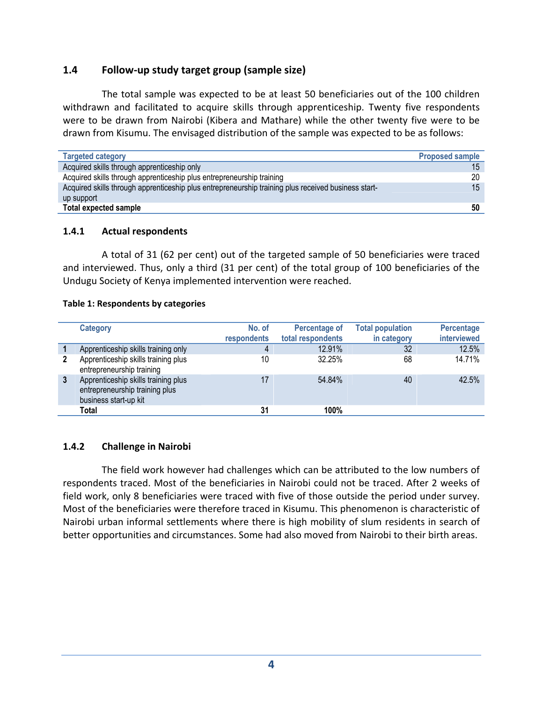#### **1.4 Follow‐up study target group (sample size)**

The total sample was expected to be at least 50 beneficiaries out of the 100 children withdrawn and facilitated to acquire skills through apprenticeship. Twenty five respondents were to be drawn from Nairobi (Kibera and Mathare) while the other twenty five were to be drawn from Kisumu. The envisaged distribution of the sample was expected to be as follows:

| <b>Targeted category</b>                                                                            | <b>Proposed sample</b> |
|-----------------------------------------------------------------------------------------------------|------------------------|
| Acquired skills through apprenticeship only                                                         | 15                     |
| Acquired skills through apprenticeship plus entrepreneurship training                               | 20                     |
| Acquired skills through apprenticeship plus entrepreneurship training plus received business start- | 15 <sup>1</sup>        |
| up support                                                                                          |                        |
| <b>Total expected sample</b>                                                                        | 50                     |

#### **1.4.1 Actual respondents**

A total of 31 (62 per cent) out of the targeted sample of 50 beneficiaries were traced and interviewed. Thus, only a third (31 per cent) of the total group of 100 beneficiaries of the Undugu Society of Kenya implemented intervention were reached.

#### **Table 1: Respondents by categories**

|   | <b>Category</b>                                                                                | No. of<br>respondents | <b>Percentage of</b><br>total respondents | <b>Total population</b><br>in category | <b>Percentage</b><br>interviewed |
|---|------------------------------------------------------------------------------------------------|-----------------------|-------------------------------------------|----------------------------------------|----------------------------------|
|   | Apprenticeship skills training only                                                            | 4                     | 12.91%                                    | 32                                     | 12.5%                            |
|   | Apprenticeship skills training plus<br>entrepreneurship training                               | 10                    | 32.25%                                    | 68                                     | 14.71%                           |
| 3 | Apprenticeship skills training plus<br>entrepreneurship training plus<br>business start-up kit | 17                    | 54.84%                                    | 40                                     | 42.5%                            |
|   | Total                                                                                          | 31                    | 100%                                      |                                        |                                  |

#### **1.4.2 Challenge in Nairobi**

The field work however had challenges which can be attributed to the low numbers of respondents traced. Most of the beneficiaries in Nairobi could not be traced. After 2 weeks of field work, only 8 beneficiaries were traced with five of those outside the period under survey. Most of the beneficiaries were therefore traced in Kisumu. This phenomenon is characteristic of Nairobi urban informal settlements where there is high mobility of slum residents in search of better opportunities and circumstances. Some had also moved from Nairobi to their birth areas.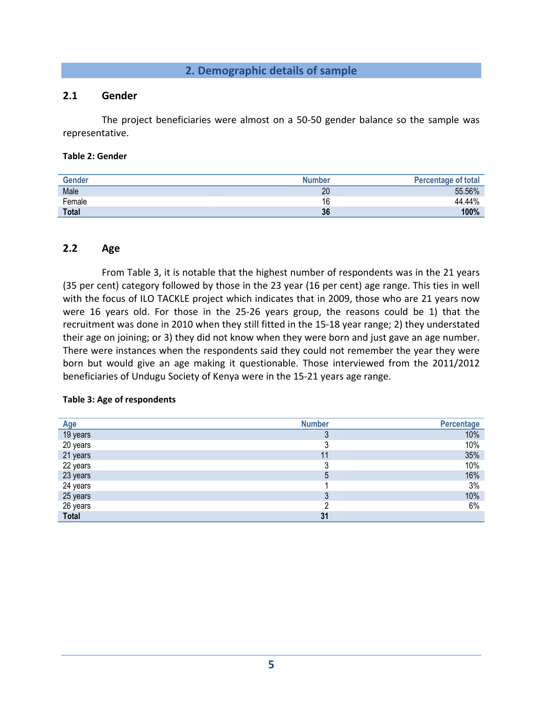#### **2. Demographic details of sample**

#### **2.1 Gender**

The project beneficiaries were almost on a 50‐50 gender balance so the sample was representative.

#### **Table 2: Gender**

| <b>Gender</b> | <b>Number</b> | <b>Percentage of total</b> |
|---------------|---------------|----------------------------|
| Male          | 20            | 55.56%                     |
| Female        | $\sim$<br>O   | 44.44%                     |
| <b>Total</b>  | 36            | 100%                       |

#### **2.2 Age**

From Table 3, it is notable that the highest number of respondents was in the 21 years (35 per cent) category followed by those in the 23 year (16 per cent) age range. This ties in well with the focus of ILO TACKLE project which indicates that in 2009, those who are 21 years now were 16 years old. For those in the 25-26 years group, the reasons could be 1) that the recruitment was done in 2010 when they still fitted in the 15‐18 year range; 2) they understated their age on joining; or 3) they did not know when they were born and just gave an age number. There were instances when the respondents said they could not remember the year they were born but would give an age making it questionable. Those interviewed from the 2011/2012 beneficiaries of Undugu Society of Kenya were in the 15‐21 years age range.

#### **Table 3: Age of respondents**

| <b>Age</b> | <b>Number</b> | Percentage |
|------------|---------------|------------|
| 19 years   |               | 10%        |
| 20 years   |               | 10%        |
| 21 years   |               | 35%        |
| 22 years   |               | 10%        |
| 23 years   |               | 16%        |
| 24 years   |               | 3%         |
| 25 years   |               | 10%        |
| 26 years   |               | 6%         |
| Total      | 31            |            |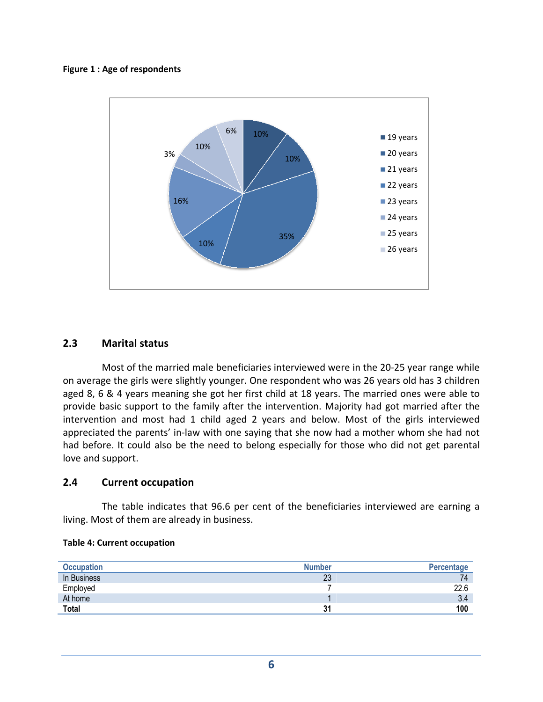#### **Figure 1 : Age of respondents**



#### **2.3 Marital status**

Most of the married male beneficiaries interviewed were in the 20‐25 year range while on average the girls were slightly younger. One respondent who was 26 years old has 3 children aged 8, 6 & 4 years meaning she got her first child at 18 years. The married ones were able to provide basic support to the family after the intervention. Majority had got married after the intervention and most had 1 child aged 2 years and below. Most of the girls interviewed appreciated the parents' in‐law with one saying that she now had a mother whom she had not had before. It could also be the need to belong especially for those who did not get parental love and support.

#### **2.4 Current occupation**

The table indicates that 96.6 per cent of the beneficiaries interviewed are earning a living. Most of them are already in business.

|  |  |  | <b>Table 4: Current occupation</b> |
|--|--|--|------------------------------------|
|--|--|--|------------------------------------|

| <b>Occupation</b> | <b>Number</b> | Percentage |
|-------------------|---------------|------------|
| In Business       | 23            | 74         |
| Employed          |               | 22.6       |
| At home           |               | 3.4        |
| <b>Total</b>      | 31            | 100        |
|                   |               |            |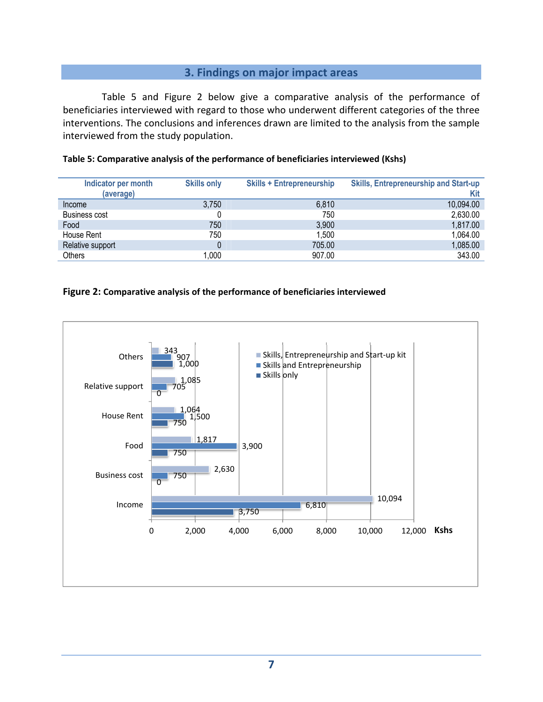#### **3. Findings on major impact areas**

Table 5 and Figure 2 below give a comparative analysis of the performance of beneficiaries interviewed with regard to those who underwent different categories of the three interventions. The conclusions and inferences drawn are limited to the analysis from the sample interviewed from the study population.

| Indicator per month  | <b>Skills only</b> | <b>Skills + Entrepreneurship</b> | <b>Skills, Entrepreneurship and Start-up</b> |
|----------------------|--------------------|----------------------------------|----------------------------------------------|
| (average)            |                    |                                  | Kit                                          |
| Income               | 3,750              | 6,810                            | 10,094.00                                    |
| <b>Business cost</b> |                    | 750                              | 2,630.00                                     |
| Food                 | 750                | 3,900                            | 1,817.00                                     |
| House Rent           | 750                | 1,500                            | 1,064.00                                     |
| Relative support     |                    | 705.00                           | 1,085.00                                     |
| Others               | 1,000              | 907.00                           | 343.00                                       |

#### **Table 5: Comparative analysis of the performance of beneficiaries interviewed (Kshs)**

#### **Figure 2: Comparative analysis of the performance of beneficiaries interviewed**

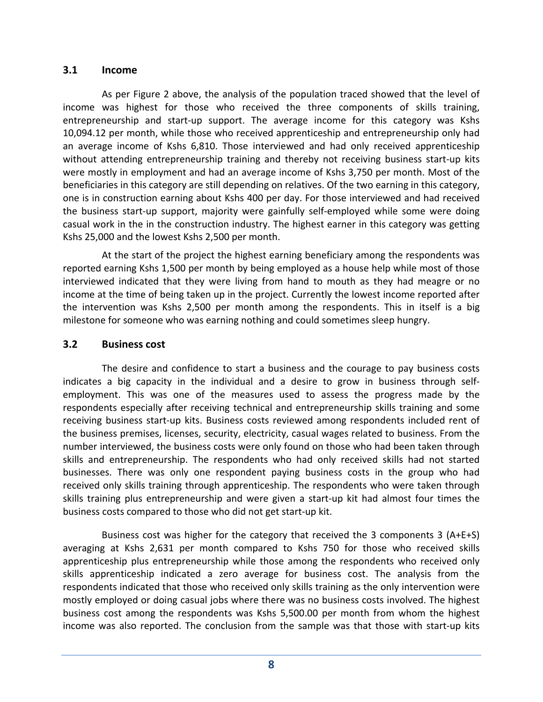#### **3.1 Income**

As per Figure 2 above, the analysis of the population traced showed that the level of income was highest for those who received the three components of skills training, entrepreneurship and start-up support. The average income for this category was Kshs 10,094.12 per month, while those who received apprenticeship and entrepreneurship only had an average income of Kshs 6,810. Those interviewed and had only received apprenticeship without attending entrepreneurship training and thereby not receiving business start-up kits were mostly in employment and had an average income of Kshs 3,750 per month. Most of the beneficiaries in this category are still depending on relatives. Of the two earning in this category, one is in construction earning about Kshs 400 per day. For those interviewed and had received the business start‐up support, majority were gainfully self‐employed while some were doing casual work in the in the construction industry. The highest earner in this category was getting Kshs 25,000 and the lowest Kshs 2,500 per month.

At the start of the project the highest earning beneficiary among the respondents was reported earning Kshs 1,500 per month by being employed as a house help while most of those interviewed indicated that they were living from hand to mouth as they had meagre or no income at the time of being taken up in the project. Currently the lowest income reported after the intervention was Kshs 2,500 per month among the respondents. This in itself is a big milestone for someone who was earning nothing and could sometimes sleep hungry.

## **3.2 Business cost**

The desire and confidence to start a business and the courage to pay business costs indicates a big capacity in the individual and a desire to grow in business through self‐ employment. This was one of the measures used to assess the progress made by the respondents especially after receiving technical and entrepreneurship skills training and some receiving business start‐up kits. Business costs reviewed among respondents included rent of the business premises, licenses, security, electricity, casual wages related to business. From the number interviewed, the business costs were only found on those who had been taken through skills and entrepreneurship. The respondents who had only received skills had not started businesses. There was only one respondent paying business costs in the group who had received only skills training through apprenticeship. The respondents who were taken through skills training plus entrepreneurship and were given a start‐up kit had almost four times the business costs compared to those who did not get start‐up kit.

Business cost was higher for the category that received the 3 components 3 (A+E+S) averaging at Kshs 2,631 per month compared to Kshs 750 for those who received skills apprenticeship plus entrepreneurship while those among the respondents who received only skills apprenticeship indicated a zero average for business cost. The analysis from the respondents indicated that those who received only skills training as the only intervention were mostly employed or doing casual jobs where there was no business costs involved. The highest business cost among the respondents was Kshs 5,500.00 per month from whom the highest income was also reported. The conclusion from the sample was that those with start-up kits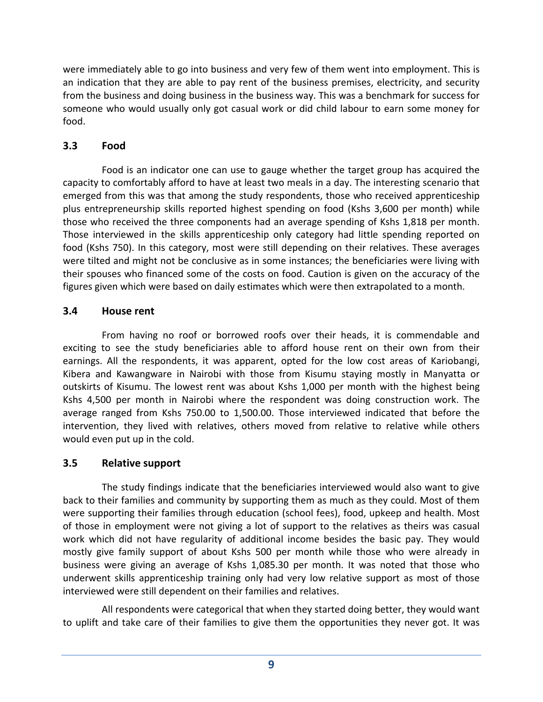were immediately able to go into business and very few of them went into employment. This is an indication that they are able to pay rent of the business premises, electricity, and security from the business and doing business in the business way. This was a benchmark for success for someone who would usually only got casual work or did child labour to earn some money for food.

## **3.3 Food**

Food is an indicator one can use to gauge whether the target group has acquired the capacity to comfortably afford to have at least two meals in a day. The interesting scenario that emerged from this was that among the study respondents, those who received apprenticeship plus entrepreneurship skills reported highest spending on food (Kshs 3,600 per month) while those who received the three components had an average spending of Kshs 1,818 per month. Those interviewed in the skills apprenticeship only category had little spending reported on food (Kshs 750). In this category, most were still depending on their relatives. These averages were tilted and might not be conclusive as in some instances; the beneficiaries were living with their spouses who financed some of the costs on food. Caution is given on the accuracy of the figures given which were based on daily estimates which were then extrapolated to a month.

## **3.4 House rent**

From having no roof or borrowed roofs over their heads, it is commendable and exciting to see the study beneficiaries able to afford house rent on their own from their earnings. All the respondents, it was apparent, opted for the low cost areas of Kariobangi, Kibera and Kawangware in Nairobi with those from Kisumu staying mostly in Manyatta or outskirts of Kisumu. The lowest rent was about Kshs 1,000 per month with the highest being Kshs 4,500 per month in Nairobi where the respondent was doing construction work. The average ranged from Kshs 750.00 to 1,500.00. Those interviewed indicated that before the intervention, they lived with relatives, others moved from relative to relative while others would even put up in the cold.

## **3.5 Relative support**

The study findings indicate that the beneficiaries interviewed would also want to give back to their families and community by supporting them as much as they could. Most of them were supporting their families through education (school fees), food, upkeep and health. Most of those in employment were not giving a lot of support to the relatives as theirs was casual work which did not have regularity of additional income besides the basic pay. They would mostly give family support of about Kshs 500 per month while those who were already in business were giving an average of Kshs 1,085.30 per month. It was noted that those who underwent skills apprenticeship training only had very low relative support as most of those interviewed were still dependent on their families and relatives.

All respondents were categorical that when they started doing better, they would want to uplift and take care of their families to give them the opportunities they never got. It was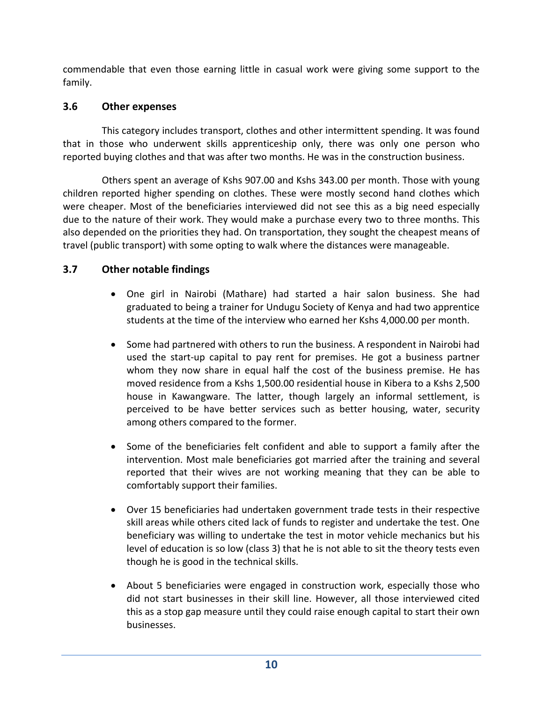commendable that even those earning little in casual work were giving some support to the family.

## **3.6 Other expenses**

This category includes transport, clothes and other intermittent spending. It was found that in those who underwent skills apprenticeship only, there was only one person who reported buying clothes and that was after two months. He was in the construction business.

Others spent an average of Kshs 907.00 and Kshs 343.00 per month. Those with young children reported higher spending on clothes. These were mostly second hand clothes which were cheaper. Most of the beneficiaries interviewed did not see this as a big need especially due to the nature of their work. They would make a purchase every two to three months. This also depended on the priorities they had. On transportation, they sought the cheapest means of travel (public transport) with some opting to walk where the distances were manageable.

## **3.7 Other notable findings**

- One girl in Nairobi (Mathare) had started a hair salon business. She had graduated to being a trainer for Undugu Society of Kenya and had two apprentice students at the time of the interview who earned her Kshs 4,000.00 per month.
- Some had partnered with others to run the business. A respondent in Nairobi had used the start‐up capital to pay rent for premises. He got a business partner whom they now share in equal half the cost of the business premise. He has moved residence from a Kshs 1,500.00 residential house in Kibera to a Kshs 2,500 house in Kawangware. The latter, though largely an informal settlement, is perceived to be have better services such as better housing, water, security among others compared to the former.
- Some of the beneficiaries felt confident and able to support a family after the intervention. Most male beneficiaries got married after the training and several reported that their wives are not working meaning that they can be able to comfortably support their families.
- Over 15 beneficiaries had undertaken government trade tests in their respective skill areas while others cited lack of funds to register and undertake the test. One beneficiary was willing to undertake the test in motor vehicle mechanics but his level of education is so low (class 3) that he is not able to sit the theory tests even though he is good in the technical skills.
- About 5 beneficiaries were engaged in construction work, especially those who did not start businesses in their skill line. However, all those interviewed cited this as a stop gap measure until they could raise enough capital to start their own businesses.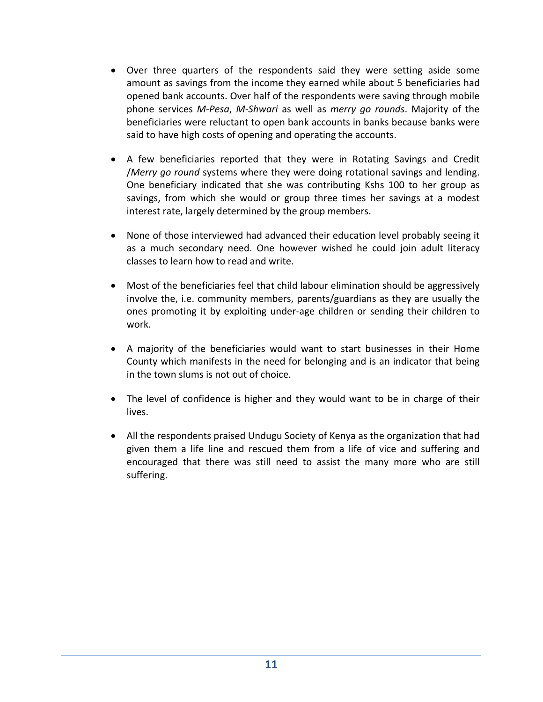- Over three quarters of the respondents said they were setting aside some amount as savings from the income they earned while about 5 beneficiaries had opened bank accounts. Over half of the respondents were saving through mobile phone services *M‐Pesa*, *M‐Shwari* as well as *merry go rounds*. Majority of the beneficiaries were reluctant to open bank accounts in banks because banks were said to have high costs of opening and operating the accounts.
- A few beneficiaries reported that they were in Rotating Savings and Credit /*Merry go round* systems where they were doing rotational savings and lending. One beneficiary indicated that she was contributing Kshs 100 to her group as savings, from which she would or group three times her savings at a modest interest rate, largely determined by the group members.
- None of those interviewed had advanced their education level probably seeing it as a much secondary need. One however wished he could join adult literacy classes to learn how to read and write.
- Most of the beneficiaries feel that child labour elimination should be aggressively involve the, i.e. community members, parents/guardians as they are usually the ones promoting it by exploiting under‐age children or sending their children to work.
- A majority of the beneficiaries would want to start businesses in their Home County which manifests in the need for belonging and is an indicator that being in the town slums is not out of choice.
- The level of confidence is higher and they would want to be in charge of their lives.
- All the respondents praised Undugu Society of Kenya as the organization that had given them a life line and rescued them from a life of vice and suffering and encouraged that there was still need to assist the many more who are still suffering.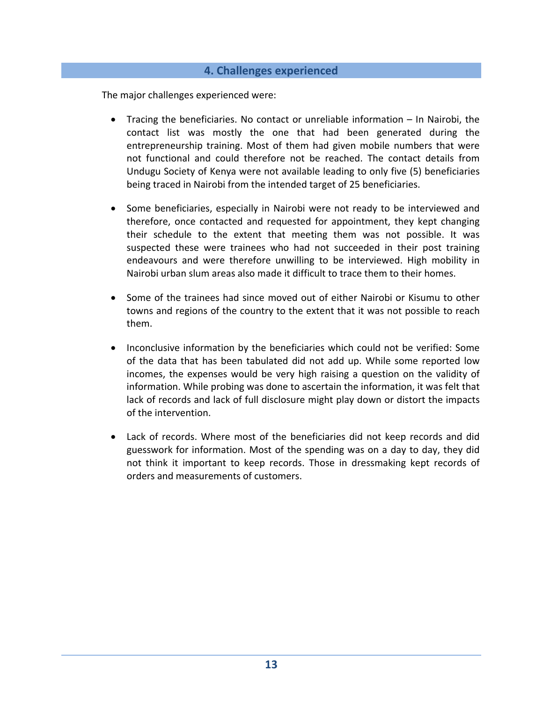#### **4. Challenges experienced**

The major challenges experienced were:

- Tracing the beneficiaries. No contact or unreliable information In Nairobi, the contact list was mostly the one that had been generated during the entrepreneurship training. Most of them had given mobile numbers that were not functional and could therefore not be reached. The contact details from Undugu Society of Kenya were not available leading to only five (5) beneficiaries being traced in Nairobi from the intended target of 25 beneficiaries.
- Some beneficiaries, especially in Nairobi were not ready to be interviewed and therefore, once contacted and requested for appointment, they kept changing their schedule to the extent that meeting them was not possible. It was suspected these were trainees who had not succeeded in their post training endeavours and were therefore unwilling to be interviewed. High mobility in Nairobi urban slum areas also made it difficult to trace them to their homes.
- Some of the trainees had since moved out of either Nairobi or Kisumu to other towns and regions of the country to the extent that it was not possible to reach them.
- Inconclusive information by the beneficiaries which could not be verified: Some of the data that has been tabulated did not add up. While some reported low incomes, the expenses would be very high raising a question on the validity of information. While probing was done to ascertain the information, it was felt that lack of records and lack of full disclosure might play down or distort the impacts of the intervention.
- Lack of records. Where most of the beneficiaries did not keep records and did guesswork for information. Most of the spending was on a day to day, they did not think it important to keep records. Those in dressmaking kept records of orders and measurements of customers.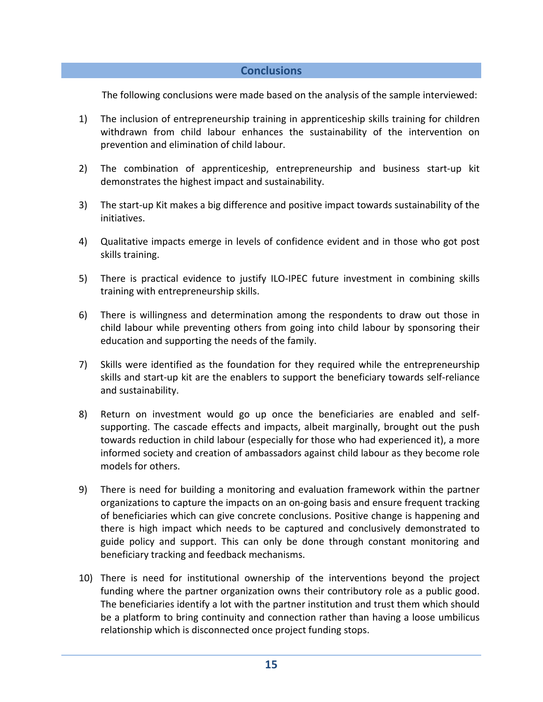#### **Conclusions**

The following conclusions were made based on the analysis of the sample interviewed:

- 1) The inclusion of entrepreneurship training in apprenticeship skills training for children withdrawn from child labour enhances the sustainability of the intervention on prevention and elimination of child labour.
- 2) The combination of apprenticeship, entrepreneurship and business start-up kit demonstrates the highest impact and sustainability.
- 3) The start‐up Kit makes a big difference and positive impact towards sustainability of the initiatives.
- 4) Qualitative impacts emerge in levels of confidence evident and in those who got post skills training.
- 5) There is practical evidence to justify ILO-IPEC future investment in combining skills training with entrepreneurship skills.
- 6) There is willingness and determination among the respondents to draw out those in child labour while preventing others from going into child labour by sponsoring their education and supporting the needs of the family.
- 7) Skills were identified as the foundation for they required while the entrepreneurship skills and start-up kit are the enablers to support the beneficiary towards self-reliance and sustainability.
- 8) Return on investment would go up once the beneficiaries are enabled and selfsupporting. The cascade effects and impacts, albeit marginally, brought out the push towards reduction in child labour (especially for those who had experienced it), a more informed society and creation of ambassadors against child labour as they become role models for others.
- 9) There is need for building a monitoring and evaluation framework within the partner organizations to capture the impacts on an on‐going basis and ensure frequent tracking of beneficiaries which can give concrete conclusions. Positive change is happening and there is high impact which needs to be captured and conclusively demonstrated to guide policy and support. This can only be done through constant monitoring and beneficiary tracking and feedback mechanisms.
- 10) There is need for institutional ownership of the interventions beyond the project funding where the partner organization owns their contributory role as a public good. The beneficiaries identify a lot with the partner institution and trust them which should be a platform to bring continuity and connection rather than having a loose umbilicus relationship which is disconnected once project funding stops.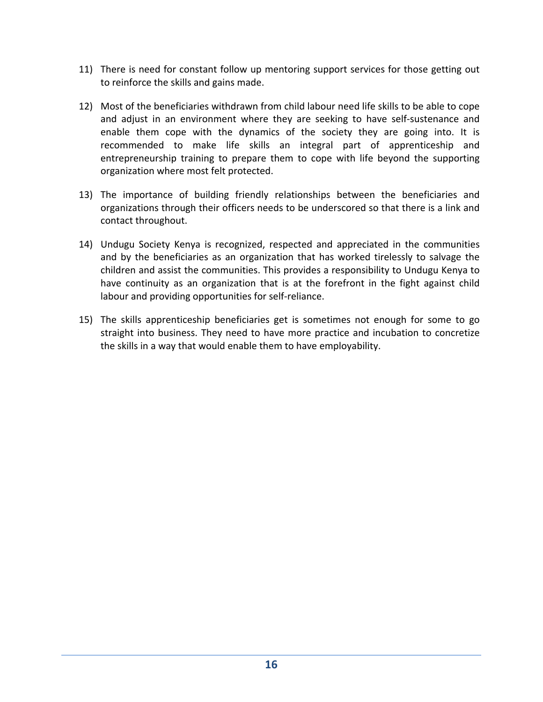- 11) There is need for constant follow up mentoring support services for those getting out to reinforce the skills and gains made.
- 12) Most of the beneficiaries withdrawn from child labour need life skills to be able to cope and adjust in an environment where they are seeking to have self‐sustenance and enable them cope with the dynamics of the society they are going into. It is recommended to make life skills an integral part of apprenticeship and entrepreneurship training to prepare them to cope with life beyond the supporting organization where most felt protected.
- 13) The importance of building friendly relationships between the beneficiaries and organizations through their officers needs to be underscored so that there is a link and contact throughout.
- 14) Undugu Society Kenya is recognized, respected and appreciated in the communities and by the beneficiaries as an organization that has worked tirelessly to salvage the children and assist the communities. This provides a responsibility to Undugu Kenya to have continuity as an organization that is at the forefront in the fight against child labour and providing opportunities for self‐reliance.
- 15) The skills apprenticeship beneficiaries get is sometimes not enough for some to go straight into business. They need to have more practice and incubation to concretize the skills in a way that would enable them to have employability.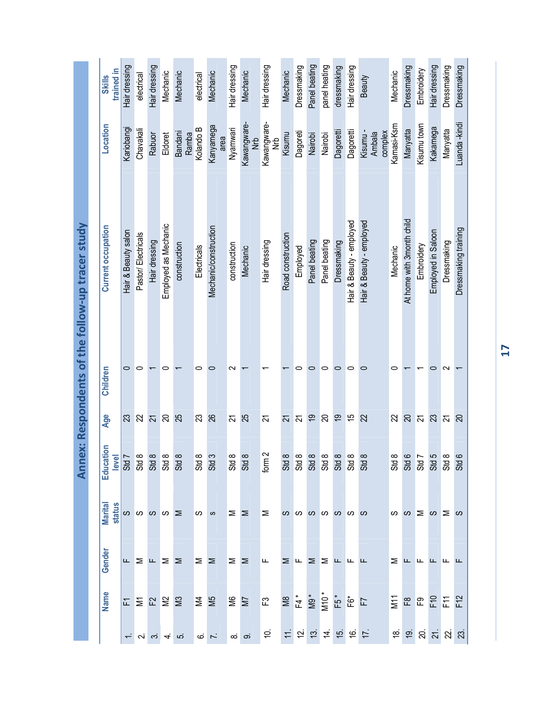|                                               | trained in<br><b>Skills</b> | Hair dressing       | electrical         | Hair dressing                  | Mechanic                 | Mechanic                                           | electrical                | Mechanic              | Hair dressing      | Mechanic              | Hair dressing               | Mechanic          | Dressmaking                    | Panel beating  | panel heating | dressmaking | Hair dressing            | Beauty                             | Mechanic   | Dressmaking                                            | Embroidery     | Hair dressing                       | Dressmaking    | Dressmaking          |
|-----------------------------------------------|-----------------------------|---------------------|--------------------|--------------------------------|--------------------------|----------------------------------------------------|---------------------------|-----------------------|--------------------|-----------------------|-----------------------------|-------------------|--------------------------------|----------------|---------------|-------------|--------------------------|------------------------------------|------------|--------------------------------------------------------|----------------|-------------------------------------|----------------|----------------------|
| ex: Respondents of the follow-up tracer study | Location                    | Kariobangi          | Chavakali          | Rabuor                         | Eldoret                  | Bandani<br>Ramba                                   | Kolando B                 | Kanyamega<br>area     | Nyamwari           | Kawangware-<br>e<br>Ž | Kawangware-<br>e<br>Z       | Kisumu            | Dagoreti                       | Nairobi        | Nairobi       | Dagoretti   | Dagoretti                | Kisumu-<br>complex<br>Ambala       | Kamasi-Ksm | Manyatta                                               | Kisumu town    | Kakamega                            | Manyatta       | Luanda -kindi        |
|                                               | <b>Current occupation</b>   | Hair & Beauty salon | Pastor/Electricals | Hair dressing                  | Employed as Mechanic     | construction                                       | Electricals               | Mechanic/construction | construction       | Mechanic              | Hair dressing               | Road construction | Employed                       | Panel beating  | Panel beating | Dressmaking | Hair & Beauty - employed | Hair & Beauty - employed           | Mechanic   | At home with 3month child                              | Embroidery     | Employed in Saloon                  | Dressmaking    | Dressmaking training |
|                                               | Children                    | 0                   | 0                  |                                | 0                        |                                                    | 0                         | 0                     | ∾                  |                       |                             |                   | 0                              | 0              | 0             | 0           | 0                        | 0                                  | 0          |                                                        |                | 0                                   | $\sim$         |                      |
|                                               | Age                         | 23                  | $\approx$          | $\overline{z}$                 | $\overline{\mathcal{S}}$ | 25                                                 | $\mathbb{S}$              | 26                    | $\overline{2}$     | 25                    | 21                          | $\overline{z}$    | $\overline{5}$                 | $\overline{9}$ | $\mathbb{R}$  | 67          | 5                        | $\overline{2}$                     | 22         | $\overline{c}$                                         | $\overline{z}$ | 23                                  | $\overline{5}$ | $\infty$             |
| Ann                                           | Education<br><b>Na</b>      | $\frac{1}{2}$       | $\infty$ $\infty$  |                                | $\infty$                 | $\infty$<br>$\begin{array}{c} 8888888 \end{array}$ | $\infty$<br>$\frac{3}{3}$ | S                     | ∞<br>$\frac{1}{3}$ | $\infty$              | $\sim$<br>$f_{\text{O}}(m)$ | $\infty$          | $\infty$                       | $\infty$       | $\infty$      | $\infty$    | $\infty$                 | $\infty$                           | $\infty$   | $\circ$ $\sim$<br><u>និ ទី ទី ទី ទី</u>                |                |                                     | <u> က</u> ထ    | $\circ$              |
|                                               | <b>Marital</b><br>status    |                     |                    | $\alpha$ a $\alpha$ a $\alpha$ |                          |                                                    | ပ                         | ဖာ                    | Σ                  | $\geq$                | ⋝                           |                   | <b>00000000</b>                |                |               |             |                          |                                    |            | $30o \leq 0$                                           |                |                                     |                |                      |
|                                               | Gender                      |                     |                    | $L \geq L \geq$                |                          | $\geq$                                             | Σ                         | Σ                     | $\geq$             | $\geq$                | ட                           | ⋝                 | $\mathsf{L}$ $\mathsf{\Sigma}$ |                | Σ             | ட           | ட                        | ட                                  | ∑ ட        |                                                        | ╙              | ட                                   | டட             |                      |
|                                               | <b>Name</b>                 |                     |                    | 도 듣 없 일                        |                          | $\approx$                                          | $\geq$                    | SM                    | <b>SE</b>          |                       | $\mathbb{E}$                |                   |                                |                |               |             |                          | M8<br>F4 *<br>M9 *<br>F5 *<br>F6 * |            | $\Sigma$ $\approx$ $\Omega$ $\Sigma$ $\Sigma$ $\Sigma$ |                |                                     |                |                      |
|                                               |                             |                     | $\overline{N}$     | $\infty$                       | 4                        | ဖာ                                                 | ဖ                         | $\overline{r}$        |                    | $\infty$ တ            | $\dot{a}$                   |                   | せねはは                           |                |               |             | 667                      |                                    |            | $\frac{1}{2}$                                          |                | ន $\overline{a}$ ន $\overline{a}$ ន |                |                      |

**17**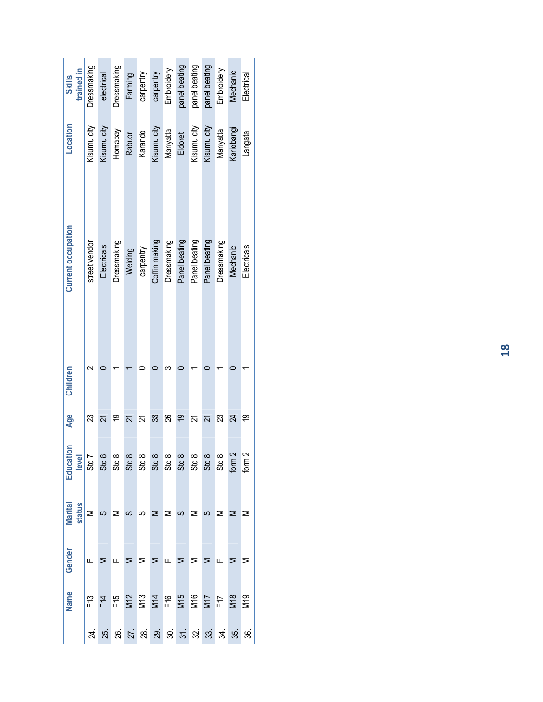| trained in<br><b>Skills</b> | Dressmaking   | electrical     | Dressmaking                                                 | Farming    | carpentry | carpentry     | Embroidery       | panel beating | panel beating    | panel beating    | Embroidery       | Mechanic   | Electrical      |
|-----------------------------|---------------|----------------|-------------------------------------------------------------|------------|-----------|---------------|------------------|---------------|------------------|------------------|------------------|------------|-----------------|
| Location                    | Kisumu city   | Kisumu city    | Homabay                                                     | Rabuor     | Karando   | Kisumu city   | Manyatta         | Eldoret       | Kisumu city      | Kisumu city      | Manyatta         | Kariobangi | Langata         |
| <b>Current occupation</b>   | street vendor | Electricals    | Dressmaking                                                 | Welding    | carpentry | Coffin making | Dressmaking      | Panel beating | Panel beating    | Panel beating    | Dressmaking      | Mechanic   | Electricals     |
| Children                    |               |                |                                                             |            |           |               |                  |               |                  |                  |                  |            |                 |
| Age                         |               |                | თ                                                           |            |           | ్ల            | ని               | ഇ             |                  |                  | జ                | 24         | ల్ల             |
| Education<br>level          | Std           | Std 8          | $\frac{8}{35}$ $\frac{8}{35}$ $\frac{8}{35}$ $\frac{8}{35}$ |            |           |               | Std <sub>1</sub> | <b>Std</b>    | Std <sub>1</sub> | Std <sub>8</sub> | Std <sub>8</sub> | form       | form            |
| <b>Marital</b><br>status    |               |                |                                                             |            |           | ⋝             | ⋝                | ပာ            |                  |                  |                  |            |                 |
| Gender                      |               |                | ட                                                           | Σ          | ⋝         | ⋝             | щ                | ⋝             | ⋝                | ⋝                | щ                |            |                 |
| Name                        | F13           | F <sub>1</sub> | F <sub>15</sub>                                             | M12<br>M13 |           | M14           | F16              | M15           | M16              | M <sub>17</sub>  | F <sub>17</sub>  | M18        | M <sub>19</sub> |
|                             |               | 25.            | 8                                                           | 27.        | 28.       | 29.           |                  | $\frac{1}{2}$ | 29.              | 33.              | ર્ઝ.             | స్ల        | \$              |